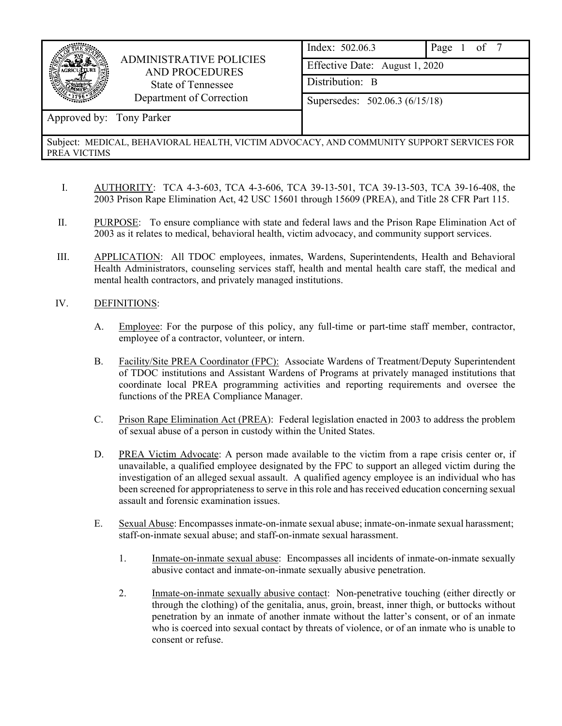

## ADMINISTRATIVE POLICIES AND PROCEDURES State of Tennessee Department of Correction

| Index: 502.06.3                | Page 1 of 7 |  |  |  |  |
|--------------------------------|-------------|--|--|--|--|
| Effective Date: August 1, 2020 |             |  |  |  |  |
| Distribution: B                |             |  |  |  |  |
| Supersedes: 502.06.3 (6/15/18) |             |  |  |  |  |
|                                |             |  |  |  |  |

# Approved by: Tony Parker

### Subject: MEDICAL, BEHAVIORAL HEALTH, VICTIM ADVOCACY, AND COMMUNITY SUPPORT SERVICES FOR PREA VICTIMS

- I. AUTHORITY: TCA 4-3-603, TCA 4-3-606, TCA 39-13-501, TCA 39-13-503, TCA 39-16-408, the 2003 Prison Rape Elimination Act, 42 USC 15601 through 15609 (PREA), and Title 28 CFR Part 115.
- II. PURPOSE: To ensure compliance with state and federal laws and the Prison Rape Elimination Act of 2003 as it relates to medical, behavioral health, victim advocacy, and community support services.
- III. APPLICATION: All TDOC employees, inmates, Wardens, Superintendents, Health and Behavioral Health Administrators, counseling services staff, health and mental health care staff, the medical and mental health contractors, and privately managed institutions.

## IV. DEFINITIONS:

- A. Employee: For the purpose of this policy, any full-time or part-time staff member, contractor, employee of a contractor, volunteer, or intern.
- B. Facility/Site PREA Coordinator (FPC): Associate Wardens of Treatment/Deputy Superintendent of TDOC institutions and Assistant Wardens of Programs at privately managed institutions that coordinate local PREA programming activities and reporting requirements and oversee the functions of the PREA Compliance Manager.
- C. Prison Rape Elimination Act (PREA): Federal legislation enacted in 2003 to address the problem of sexual abuse of a person in custody within the United States.
- D. PREA Victim Advocate: A person made available to the victim from a rape crisis center or, if unavailable, a qualified employee designated by the FPC to support an alleged victim during the investigation of an alleged sexual assault. A qualified agency employee is an individual who has been screened for appropriateness to serve in this role and has received education concerning sexual assault and forensic examination issues.
- E. Sexual Abuse: Encompasses inmate-on-inmate sexual abuse; inmate-on-inmate sexual harassment; staff-on-inmate sexual abuse; and staff-on-inmate sexual harassment.
	- 1. Inmate-on-inmate sexual abuse: Encompasses all incidents of inmate-on-inmate sexually abusive contact and inmate-on-inmate sexually abusive penetration.
	- 2. Inmate-on-inmate sexually abusive contact: Non-penetrative touching (either directly or through the clothing) of the genitalia, anus, groin, breast, inner thigh, or buttocks without penetration by an inmate of another inmate without the latter's consent, or of an inmate who is coerced into sexual contact by threats of violence, or of an inmate who is unable to consent or refuse.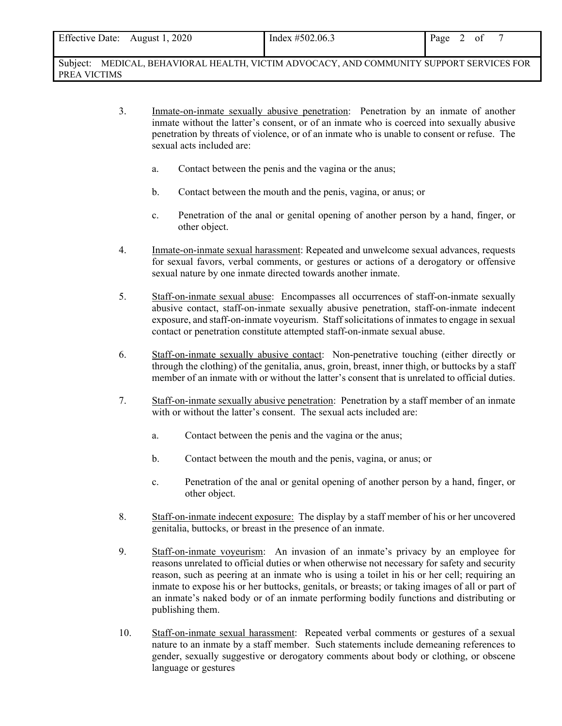| Effective Date: August 1, 2020                                                              | Index $\#502.06.3$ | Page 2 of |
|---------------------------------------------------------------------------------------------|--------------------|-----------|
| Subject:<br>MEDICAL, BEHAVIORAL HEALTH, VICTIM ADVOCACY, AND COMMUNITY SUPPORT SERVICES FOR |                    |           |

PREA VICTIMS

- 3. Inmate-on-inmate sexually abusive penetration: Penetration by an inmate of another inmate without the latter's consent, or of an inmate who is coerced into sexually abusive penetration by threats of violence, or of an inmate who is unable to consent or refuse. The sexual acts included are:
	- a. Contact between the penis and the vagina or the anus;
	- b. Contact between the mouth and the penis, vagina, or anus; or
	- c. Penetration of the anal or genital opening of another person by a hand, finger, or other object.
- 4. Inmate-on-inmate sexual harassment: Repeated and unwelcome sexual advances, requests for sexual favors, verbal comments, or gestures or actions of a derogatory or offensive sexual nature by one inmate directed towards another inmate.
- 5. Staff-on-inmate sexual abuse: Encompasses all occurrences of staff-on-inmate sexually abusive contact, staff-on-inmate sexually abusive penetration, staff-on-inmate indecent exposure, and staff-on-inmate voyeurism. Staff solicitations of inmates to engage in sexual contact or penetration constitute attempted staff-on-inmate sexual abuse.
- 6. Staff-on-inmate sexually abusive contact: Non-penetrative touching (either directly or through the clothing) of the genitalia, anus, groin, breast, inner thigh, or buttocks by a staff member of an inmate with or without the latter's consent that is unrelated to official duties.
- 7. Staff-on-inmate sexually abusive penetration: Penetration by a staff member of an inmate with or without the latter's consent. The sexual acts included are:
	- a. Contact between the penis and the vagina or the anus;
	- b. Contact between the mouth and the penis, vagina, or anus; or
	- c. Penetration of the anal or genital opening of another person by a hand, finger, or other object.
- 8. Staff-on-inmate indecent exposure: The display by a staff member of his or her uncovered genitalia, buttocks, or breast in the presence of an inmate.
- 9. Staff-on-inmate voyeurism: An invasion of an inmate's privacy by an employee for reasons unrelated to official duties or when otherwise not necessary for safety and security reason, such as peering at an inmate who is using a toilet in his or her cell; requiring an inmate to expose his or her buttocks, genitals, or breasts; or taking images of all or part of an inmate's naked body or of an inmate performing bodily functions and distributing or publishing them.
- 10. Staff-on-inmate sexual harassment: Repeated verbal comments or gestures of a sexual nature to an inmate by a staff member. Such statements include demeaning references to gender, sexually suggestive or derogatory comments about body or clothing, or obscene language or gestures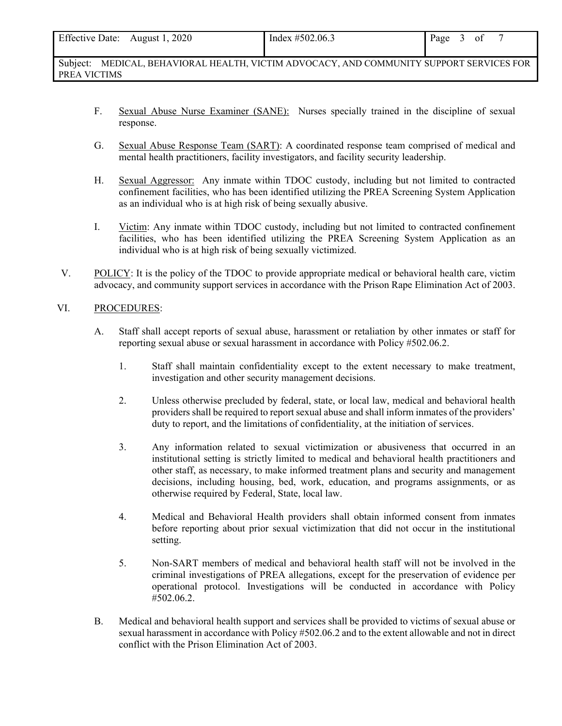| Effective Date: August 1, 2020 | Index $\#502.06.3$                                                                       | Page 3 of |  |  |
|--------------------------------|------------------------------------------------------------------------------------------|-----------|--|--|
|                                |                                                                                          |           |  |  |
|                                | Subject: MEDICAL, BEHAVIORAL HEALTH, VICTIM ADVOCACY, AND COMMUNITY SUPPORT SERVICES FOR |           |  |  |

F. Sexual Abuse Nurse Examiner (SANE): Nurses specially trained in the discipline of sexual response.

- G. Sexual Abuse Response Team (SART): A coordinated response team comprised of medical and mental health practitioners, facility investigators, and facility security leadership.
- H. Sexual Aggressor: Any inmate within TDOC custody, including but not limited to contracted confinement facilities, who has been identified utilizing the PREA Screening System Application as an individual who is at high risk of being sexually abusive.
- I. Victim: Any inmate within TDOC custody, including but not limited to contracted confinement facilities, who has been identified utilizing the PREA Screening System Application as an individual who is at high risk of being sexually victimized.
- V. POLICY: It is the policy of the TDOC to provide appropriate medical or behavioral health care, victim advocacy, and community support services in accordance with the Prison Rape Elimination Act of 2003.

#### VI. PROCEDURES:

PREA VICTIMS

- A. Staff shall accept reports of sexual abuse, harassment or retaliation by other inmates or staff for reporting sexual abuse or sexual harassment in accordance with Policy #502.06.2.
	- 1. Staff shall maintain confidentiality except to the extent necessary to make treatment, investigation and other security management decisions.
	- 2. Unless otherwise precluded by federal, state, or local law, medical and behavioral health providers shall be required to report sexual abuse and shall inform inmates of the providers' duty to report, and the limitations of confidentiality, at the initiation of services.
	- 3. Any information related to sexual victimization or abusiveness that occurred in an institutional setting is strictly limited to medical and behavioral health practitioners and other staff, as necessary, to make informed treatment plans and security and management decisions, including housing, bed, work, education, and programs assignments, or as otherwise required by Federal, State, local law.
	- 4. Medical and Behavioral Health providers shall obtain informed consent from inmates before reporting about prior sexual victimization that did not occur in the institutional setting.
	- 5. Non-SART members of medical and behavioral health staff will not be involved in the criminal investigations of PREA allegations, except for the preservation of evidence per operational protocol. Investigations will be conducted in accordance with Policy #502.06.2.
- B. Medical and behavioral health support and services shall be provided to victims of sexual abuse or sexual harassment in accordance with Policy #502.06.2 and to the extent allowable and not in direct conflict with the Prison Elimination Act of 2003.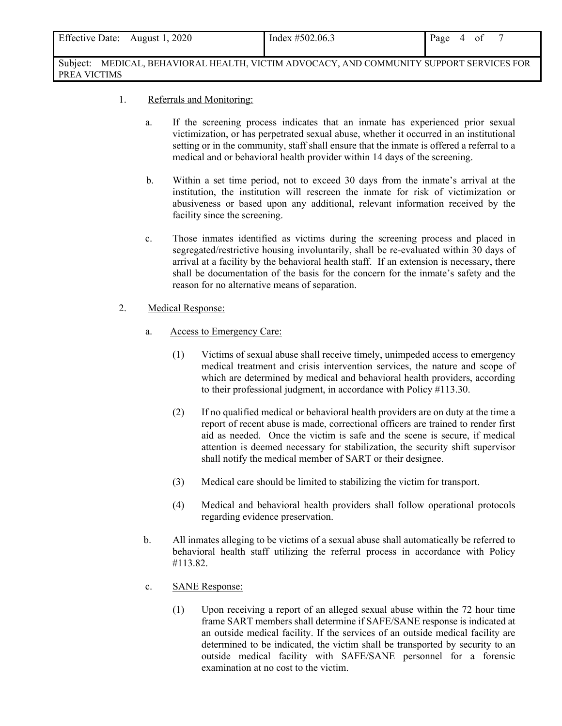| <b>Effective Date:</b> | August 1, 2020 | Index $\#502.06.3$ | Page<br>01<br>4 |
|------------------------|----------------|--------------------|-----------------|
|                        |                |                    |                 |

Subject: MEDICAL, BEHAVIORAL HEALTH, VICTIM ADVOCACY, AND COMMUNITY SUPPORT SERVICES FOR PREA VICTIMS

- 1. Referrals and Monitoring:
	- a. If the screening process indicates that an inmate has experienced prior sexual victimization, or has perpetrated sexual abuse, whether it occurred in an institutional setting or in the community, staff shall ensure that the inmate is offered a referral to a medical and or behavioral health provider within 14 days of the screening.
	- b. Within a set time period, not to exceed 30 days from the inmate's arrival at the institution, the institution will rescreen the inmate for risk of victimization or abusiveness or based upon any additional, relevant information received by the facility since the screening.
	- c. Those inmates identified as victims during the screening process and placed in segregated/restrictive housing involuntarily, shall be re-evaluated within 30 days of arrival at a facility by the behavioral health staff. If an extension is necessary, there shall be documentation of the basis for the concern for the inmate's safety and the reason for no alternative means of separation.
- 2. Medical Response:
	- a. Access to Emergency Care:
		- (1) Victims of sexual abuse shall receive timely, unimpeded access to emergency medical treatment and crisis intervention services, the nature and scope of which are determined by medical and behavioral health providers, according to their professional judgment, in accordance with Policy #113.30.
		- (2) If no qualified medical or behavioral health providers are on duty at the time a report of recent abuse is made, correctional officers are trained to render first aid as needed. Once the victim is safe and the scene is secure, if medical attention is deemed necessary for stabilization, the security shift supervisor shall notify the medical member of SART or their designee.
		- (3) Medical care should be limited to stabilizing the victim for transport.
		- (4) Medical and behavioral health providers shall follow operational protocols regarding evidence preservation.
	- b. All inmates alleging to be victims of a sexual abuse shall automatically be referred to behavioral health staff utilizing the referral process in accordance with Policy #113.82.
	- c. SANE Response:
		- (1) Upon receiving a report of an alleged sexual abuse within the 72 hour time frame SART members shall determine if SAFE/SANE response is indicated at an outside medical facility. If the services of an outside medical facility are determined to be indicated, the victim shall be transported by security to an outside medical facility with SAFE/SANE personnel for a forensic examination at no cost to the victim.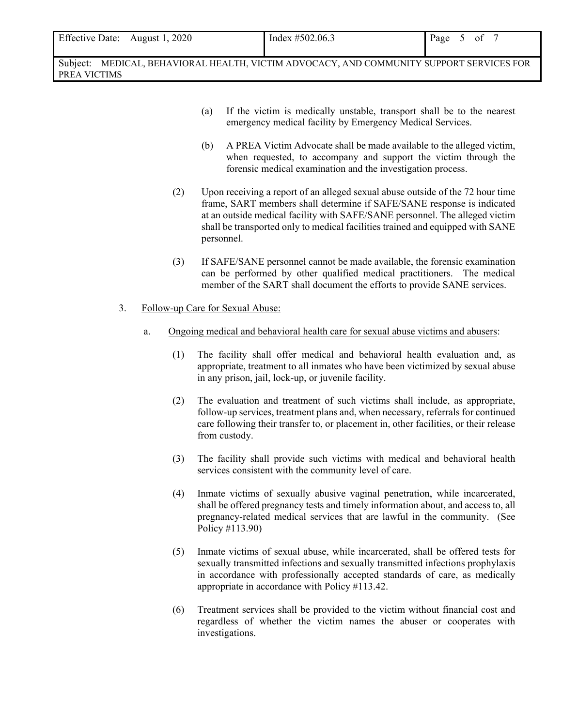Subject: MEDICAL, BEHAVIORAL HEALTH, VICTIM ADVOCACY, AND COMMUNITY SUPPORT SERVICES FOR PREA VICTIMS

- (a) If the victim is medically unstable, transport shall be to the nearest emergency medical facility by Emergency Medical Services.
- (b) A PREA Victim Advocate shall be made available to the alleged victim, when requested, to accompany and support the victim through the forensic medical examination and the investigation process.
- (2) Upon receiving a report of an alleged sexual abuse outside of the 72 hour time frame, SART members shall determine if SAFE/SANE response is indicated at an outside medical facility with SAFE/SANE personnel. The alleged victim shall be transported only to medical facilities trained and equipped with SANE personnel.
- (3) If SAFE/SANE personnel cannot be made available, the forensic examination can be performed by other qualified medical practitioners. The medical member of the SART shall document the efforts to provide SANE services.
- 3. Follow-up Care for Sexual Abuse:
	- a. Ongoing medical and behavioral health care for sexual abuse victims and abusers:
		- (1) The facility shall offer medical and behavioral health evaluation and, as appropriate, treatment to all inmates who have been victimized by sexual abuse in any prison, jail, lock-up, or juvenile facility.
		- (2) The evaluation and treatment of such victims shall include, as appropriate, follow-up services, treatment plans and, when necessary, referrals for continued care following their transfer to, or placement in, other facilities, or their release from custody.
		- (3) The facility shall provide such victims with medical and behavioral health services consistent with the community level of care.
		- (4) Inmate victims of sexually abusive vaginal penetration, while incarcerated, shall be offered pregnancy tests and timely information about, and access to, all pregnancy-related medical services that are lawful in the community. (See Policy #113.90)
		- (5) Inmate victims of sexual abuse, while incarcerated, shall be offered tests for sexually transmitted infections and sexually transmitted infections prophylaxis in accordance with professionally accepted standards of care, as medically appropriate in accordance with Policy #113.42.
		- (6) Treatment services shall be provided to the victim without financial cost and regardless of whether the victim names the abuser or cooperates with investigations.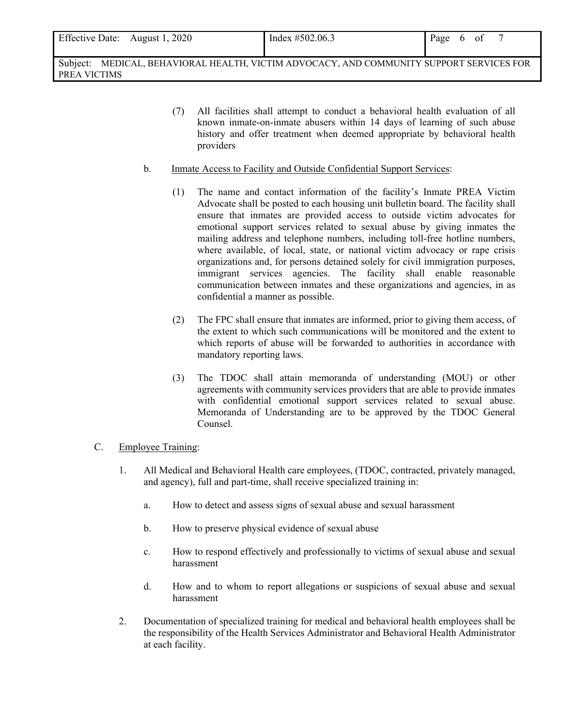| Page<br>0 <sub>1</sub><br><sub>t</sub> | <b>Effective Date:</b><br>August 1, 2020 | Index $\#502.06.3$ |  |  |  |  |  |
|----------------------------------------|------------------------------------------|--------------------|--|--|--|--|--|
|----------------------------------------|------------------------------------------|--------------------|--|--|--|--|--|

Subject: MEDICAL, BEHAVIORAL HEALTH, VICTIM ADVOCACY, AND COMMUNITY SUPPORT SERVICES FOR PREA VICTIMS

- (7) All facilities shall attempt to conduct a behavioral health evaluation of all known inmate-on-inmate abusers within 14 days of learning of such abuse history and offer treatment when deemed appropriate by behavioral health providers
- b. Inmate Access to Facility and Outside Confidential Support Services:
	- (1) The name and contact information of the facility's Inmate PREA Victim Advocate shall be posted to each housing unit bulletin board. The facility shall ensure that inmates are provided access to outside victim advocates for emotional support services related to sexual abuse by giving inmates the mailing address and telephone numbers, including toll-free hotline numbers, where available, of local, state, or national victim advocacy or rape crisis organizations and, for persons detained solely for civil immigration purposes, immigrant services agencies. The facility shall enable reasonable communication between inmates and these organizations and agencies, in as confidential a manner as possible.
	- (2) The FPC shall ensure that inmates are informed, prior to giving them access, of the extent to which such communications will be monitored and the extent to which reports of abuse will be forwarded to authorities in accordance with mandatory reporting laws.
	- (3) The TDOC shall attain memoranda of understanding (MOU) or other agreements with community services providers that are able to provide inmates with confidential emotional support services related to sexual abuse. Memoranda of Understanding are to be approved by the TDOC General Counsel.

#### C. Employee Training:

- 1. All Medical and Behavioral Health care employees, (TDOC, contracted, privately managed, and agency), full and part-time, shall receive specialized training in:
	- a. How to detect and assess signs of sexual abuse and sexual harassment
	- b. How to preserve physical evidence of sexual abuse
	- c. How to respond effectively and professionally to victims of sexual abuse and sexual harassment
	- d. How and to whom to report allegations or suspicions of sexual abuse and sexual harassment
- 2. Documentation of specialized training for medical and behavioral health employees shall be the responsibility of the Health Services Administrator and Behavioral Health Administrator at each facility.